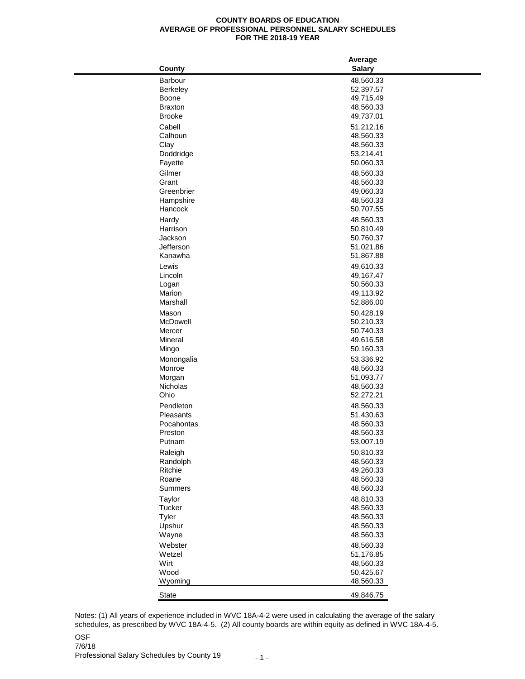## **COUNTY BOARDS OF EDUCATION AVERAGE OF PROFESSIONAL PERSONNEL SALARY SCHEDULES FOR THE 2018-19 YEAR**

|                | Average                |  |  |
|----------------|------------------------|--|--|
| County         | <b>Salary</b>          |  |  |
| Barbour        | 48,560.33              |  |  |
| Berkeley       | 52,397.57              |  |  |
| Boone          | 49,715.49              |  |  |
| <b>Braxton</b> | 48,560.33              |  |  |
| <b>Brooke</b>  | 49,737.01              |  |  |
| Cabell         | 51,212.16              |  |  |
| Calhoun        | 48,560.33              |  |  |
| Clay           | 48,560.33              |  |  |
| Doddridge      | 53,214.41              |  |  |
| Fayette        | 50,060.33              |  |  |
| Gilmer         | 48,560.33              |  |  |
| Grant          | 48,560.33              |  |  |
| Greenbrier     | 49,060.33              |  |  |
| Hampshire      | 48,560.33              |  |  |
| Hancock        | 50,707.55              |  |  |
| Hardy          | 48,560.33              |  |  |
| Harrison       | 50,810.49              |  |  |
| Jackson        | 50,760.37              |  |  |
| Jefferson      | 51,021.86              |  |  |
| Kanawha        | 51,867.88              |  |  |
| Lewis          | 49,610.33              |  |  |
| Lincoln        | 49,167.47              |  |  |
| Logan          | 50,560.33              |  |  |
| Marion         | 49,113.92              |  |  |
| Marshall       | 52,886.00              |  |  |
| Mason          |                        |  |  |
| McDowell       | 50,428.19              |  |  |
| Mercer         | 50,210.33<br>50,740.33 |  |  |
| Mineral        | 49,616.58              |  |  |
| Mingo          | 50,160.33              |  |  |
|                |                        |  |  |
| Monongalia     | 53,336.92              |  |  |
| Monroe         | 48,560.33              |  |  |
| Morgan         | 51,093.77              |  |  |
| Nicholas       | 48,560.33              |  |  |
| Ohio           | 52,272.21              |  |  |
| Pendleton      | 48,560.33              |  |  |
| Pleasants      | 51,430.63              |  |  |
| Pocahontas     | 48,560.33              |  |  |
| Preston        | 48,560.33              |  |  |
| Putnam         | 53,007.19              |  |  |
| Raleigh        | 50,810.33              |  |  |
| Randolph       | 48,560.33              |  |  |
| Ritchie        | 49,260.33              |  |  |
| Roane          | 48,560.33              |  |  |
| Summers        | 48,560.33              |  |  |
| Taylor         | 48,810.33              |  |  |
| Tucker         | 48,560.33              |  |  |
| Tyler          | 48,560.33              |  |  |
| Upshur         | 48,560.33              |  |  |
| Wayne          | 48,560.33              |  |  |
| Webster        | 48,560.33              |  |  |
| Wetzel         | 51,176.85              |  |  |
| Wirt           | 48,560.33              |  |  |
| Wood           | 50,425.67              |  |  |
| Wyoming        | 48,560.33              |  |  |
|                |                        |  |  |
| State          | 49,846.75              |  |  |

OSF Notes: (1) All years of experience included in WVC 18A-4-2 were used in calculating the average of the salary schedules, as prescribed by WVC 18A-4-5. (2) All county boards are within equity as defined in WVC 18A-4-5.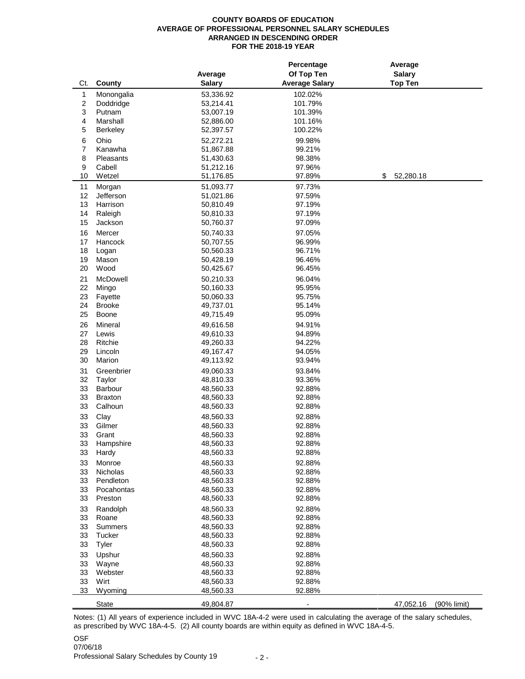## **COUNTY BOARDS OF EDUCATION AVERAGE OF PROFESSIONAL PERSONNEL SALARY SCHEDULES ARRANGED IN DESCENDING ORDER FOR THE 2018-19 YEAR**

|                  |                     |                        | Percentage            | Average                  |
|------------------|---------------------|------------------------|-----------------------|--------------------------|
|                  |                     | Average                | Of Top Ten            | <b>Salary</b>            |
| Ct.              | County              | <b>Salary</b>          | <b>Average Salary</b> | <b>Top Ten</b>           |
| $\mathbf{1}$     | Monongalia          | 53,336.92              | 102.02%               |                          |
| $\boldsymbol{2}$ | Doddridge           | 53,214.41              | 101.79%               |                          |
| 3                | Putnam              | 53,007.19              | 101.39%               |                          |
| 4                | Marshall            | 52,886.00              | 101.16%               |                          |
| 5                | <b>Berkeley</b>     | 52,397.57              | 100.22%               |                          |
|                  | Ohio                |                        |                       |                          |
| 6                |                     | 52,272.21              | 99.98%                |                          |
| 7                | Kanawha             | 51,867.88              | 99.21%                |                          |
| 8                | Pleasants<br>Cabell | 51,430.63              | 98.38%                |                          |
| 9<br>10          | Wetzel              | 51,212.16<br>51,176.85 | 97.96%                | 52,280.18<br>\$          |
|                  |                     |                        | 97.89%                |                          |
| 11               | Morgan              | 51,093.77              | 97.73%                |                          |
| 12               | Jefferson           | 51,021.86              | 97.59%                |                          |
| 13               | Harrison            | 50,810.49              | 97.19%                |                          |
| 14               | Raleigh             | 50,810.33              | 97.19%                |                          |
| 15               | Jackson             | 50,760.37              | 97.09%                |                          |
| 16               | Mercer              | 50,740.33              | 97.05%                |                          |
| 17               | Hancock             | 50,707.55              | 96.99%                |                          |
| 18               | Logan               | 50,560.33              | 96.71%                |                          |
| 19               | Mason               | 50,428.19              | 96.46%                |                          |
| 20               | Wood                | 50,425.67              | 96.45%                |                          |
| 21               | McDowell            | 50,210.33              | 96.04%                |                          |
| 22               | Mingo               | 50,160.33              | 95.95%                |                          |
| 23               | Fayette             | 50,060.33              | 95.75%                |                          |
| 24               | <b>Brooke</b>       | 49,737.01              | 95.14%                |                          |
| 25               | Boone               | 49,715.49              | 95.09%                |                          |
| 26               | Mineral             | 49,616.58              | 94.91%                |                          |
| 27               | Lewis               | 49,610.33              | 94.89%                |                          |
| 28               | Ritchie             | 49,260.33              | 94.22%                |                          |
| 29               | Lincoln             | 49,167.47              | 94.05%                |                          |
| 30               | Marion              | 49,113.92              | 93.94%                |                          |
| 31               | Greenbrier          |                        |                       |                          |
| 32               | Taylor              | 49,060.33<br>48,810.33 | 93.84%<br>93.36%      |                          |
| 33               | Barbour             | 48,560.33              | 92.88%                |                          |
| 33               | <b>Braxton</b>      | 48,560.33              | 92.88%                |                          |
| 33               | Calhoun             | 48,560.33              | 92.88%                |                          |
|                  |                     |                        |                       |                          |
| 33               | Clay                | 48,560.33              | 92.88%                |                          |
| 33               | Gilmer<br>Grant     | 48,560.33              | 92.88%<br>92.88%      |                          |
| 33               |                     | 48,560.33              |                       |                          |
| 33               | Hampshire           | 48,560.33              | 92.88%                |                          |
| 33               | Hardy               | 48,560.33              | 92.88%                |                          |
| 33               | Monroe              | 48,560.33              | 92.88%                |                          |
| 33               | Nicholas            | 48,560.33              | 92.88%                |                          |
| 33               | Pendleton           | 48,560.33              | 92.88%                |                          |
| 33               | Pocahontas          | 48,560.33              | 92.88%                |                          |
| 33               | Preston             | 48,560.33              | 92.88%                |                          |
| 33               | Randolph            | 48,560.33              | 92.88%                |                          |
| 33               | Roane               | 48,560.33              | 92.88%                |                          |
| 33               | Summers             | 48,560.33              | 92.88%                |                          |
| 33               | Tucker              | 48,560.33              | 92.88%                |                          |
| 33               | Tyler               | 48,560.33              | 92.88%                |                          |
| 33               | Upshur              | 48,560.33              | 92.88%                |                          |
| 33               | Wayne               | 48,560.33              | 92.88%                |                          |
| 33               | Webster             | 48,560.33              | 92.88%                |                          |
| 33               | Wirt                | 48,560.33              | 92.88%                |                          |
| 33               | Wyoming             | 48,560.33              | 92.88%                |                          |
|                  | <b>State</b>        | 49,804.87              |                       | 47,052.16<br>(90% limit) |
|                  |                     |                        |                       |                          |

Notes: (1) All years of experience included in WVC 18A-4-2 were used in calculating the average of the salary schedules, as prescribed by WVC 18A-4-5. (2) All county boards are within equity as defined in WVC 18A-4-5.